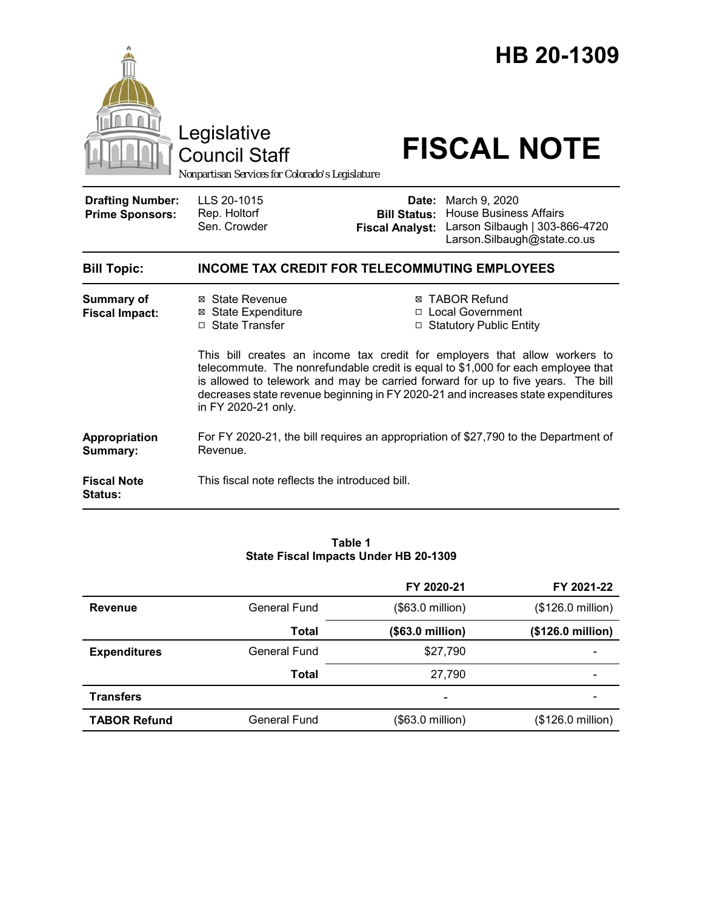

#### **Table 1 State Fiscal Impacts Under HB 20-1309**

|                     |                     | FY 2020-21       | FY 2021-22        |
|---------------------|---------------------|------------------|-------------------|
| <b>Revenue</b>      | <b>General Fund</b> | (\$63.0 million) | (\$126.0 million) |
|                     | Total               | (\$63.0 million) | (\$126.0 million) |
| <b>Expenditures</b> | <b>General Fund</b> | \$27,790         |                   |
|                     | <b>Total</b>        | 27,790           |                   |
| <b>Transfers</b>    |                     | -                |                   |
| <b>TABOR Refund</b> | General Fund        | (\$63.0 million) | (\$126.0 million) |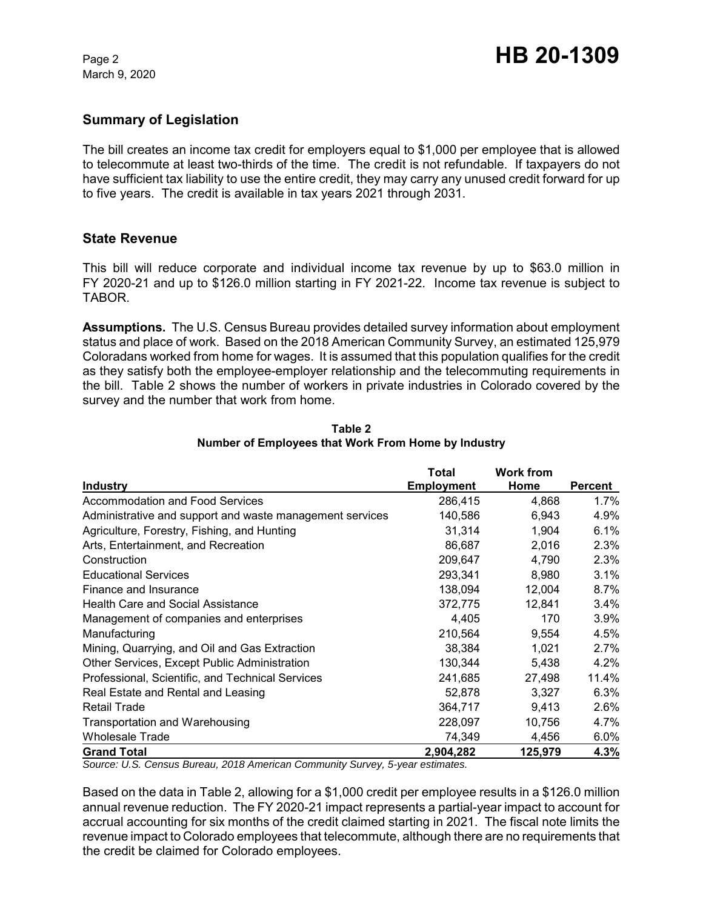March 9, 2020

## **Summary of Legislation**

The bill creates an income tax credit for employers equal to \$1,000 per employee that is allowed to telecommute at least two-thirds of the time. The credit is not refundable. If taxpayers do not have sufficient tax liability to use the entire credit, they may carry any unused credit forward for up to five years. The credit is available in tax years 2021 through 2031.

### **State Revenue**

This bill will reduce corporate and individual income tax revenue by up to \$63.0 million in FY 2020-21 and up to \$126.0 million starting in FY 2021-22. Income tax revenue is subject to TABOR.

**Assumptions.** The U.S. Census Bureau provides detailed survey information about employment status and place of work. Based on the 2018 American Community Survey, an estimated 125,979 Coloradans worked from home for wages. It is assumed that this population qualifies for the credit as they satisfy both the employee-employer relationship and the telecommuting requirements in the bill. Table 2 shows the number of workers in private industries in Colorado covered by the survey and the number that work from home.

|                                                          | Total             | <b>Work from</b> |         |
|----------------------------------------------------------|-------------------|------------------|---------|
| <b>Industry</b>                                          | <b>Employment</b> | Home             | Percent |
| Accommodation and Food Services                          | 286,415           | 4,868            | $1.7\%$ |
| Administrative and support and waste management services | 140,586           | 6,943            | 4.9%    |
| Agriculture, Forestry, Fishing, and Hunting              | 31,314            | 1,904            | 6.1%    |
| Arts, Entertainment, and Recreation                      | 86,687            | 2,016            | 2.3%    |
| Construction                                             | 209,647           | 4,790            | 2.3%    |
| <b>Educational Services</b>                              | 293,341           | 8,980            | 3.1%    |
| Finance and Insurance                                    | 138,094           | 12.004           | $8.7\%$ |
| <b>Health Care and Social Assistance</b>                 | 372,775           | 12,841           | 3.4%    |
| Management of companies and enterprises                  | 4,405             | 170              | 3.9%    |
| Manufacturing                                            | 210,564           | 9.554            | 4.5%    |
| Mining, Quarrying, and Oil and Gas Extraction            | 38,384            | 1,021            | 2.7%    |
| Other Services, Except Public Administration             | 130,344           | 5,438            | 4.2%    |
| Professional, Scientific, and Technical Services         | 241,685           | 27,498           | 11.4%   |
| Real Estate and Rental and Leasing                       | 52,878            | 3,327            | 6.3%    |
| <b>Retail Trade</b>                                      | 364,717           | 9,413            | 2.6%    |
| Transportation and Warehousing                           | 228,097           | 10,756           | 4.7%    |
| <b>Wholesale Trade</b>                                   | 74,349            | 4,456            | 6.0%    |
| <b>Grand Total</b>                                       | 2,904,282         | 125,979          | 4.3%    |

**Table 2 Number of Employees that Work From Home by Industry**

*Source: U.S. Census Bureau, 2018 American Community Survey, 5-year estimates.*

Based on the data in Table 2, allowing for a \$1,000 credit per employee results in a \$126.0 million annual revenue reduction. The FY 2020-21 impact represents a partial-year impact to account for accrual accounting for six months of the credit claimed starting in 2021. The fiscal note limits the revenue impact to Colorado employees that telecommute, although there are no requirements that the credit be claimed for Colorado employees.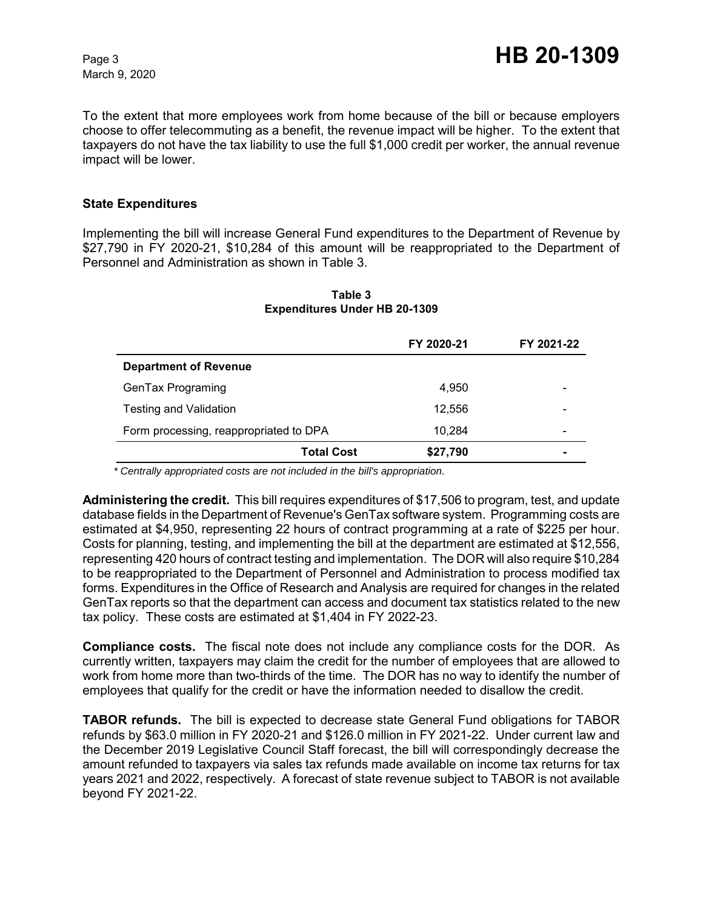March 9, 2020

To the extent that more employees work from home because of the bill or because employers choose to offer telecommuting as a benefit, the revenue impact will be higher. To the extent that taxpayers do not have the tax liability to use the full \$1,000 credit per worker, the annual revenue impact will be lower.

### **State Expenditures**

Implementing the bill will increase General Fund expenditures to the Department of Revenue by \$27,790 in FY 2020-21, \$10,284 of this amount will be reappropriated to the Department of Personnel and Administration as shown in Table 3.

|                                        | FY 2020-21 | FY 2021-22 |
|----------------------------------------|------------|------------|
| <b>Department of Revenue</b>           |            |            |
| GenTax Programing                      | 4.950      |            |
| <b>Testing and Validation</b>          | 12,556     |            |
| Form processing, reappropriated to DPA | 10.284     |            |
| <b>Total Cost</b>                      | \$27,790   |            |

#### **Table 3 Expenditures Under HB 20-1309**

 *\* Centrally appropriated costs are not included in the bill's appropriation.*

**Administering the credit.** This bill requires expenditures of \$17,506 to program, test, and update database fields in the Department of Revenue's GenTax software system. Programming costs are estimated at \$4,950, representing 22 hours of contract programming at a rate of \$225 per hour. Costs for planning, testing, and implementing the bill at the department are estimated at \$12,556, representing 420 hours of contract testing and implementation. The DOR will also require \$10,284 to be reappropriated to the Department of Personnel and Administration to process modified tax forms. Expenditures in the Office of Research and Analysis are required for changes in the related GenTax reports so that the department can access and document tax statistics related to the new tax policy. These costs are estimated at \$1,404 in FY 2022-23.

**Compliance costs.** The fiscal note does not include any compliance costs for the DOR. As currently written, taxpayers may claim the credit for the number of employees that are allowed to work from home more than two-thirds of the time. The DOR has no way to identify the number of employees that qualify for the credit or have the information needed to disallow the credit.

**TABOR refunds.** The bill is expected to decrease state General Fund obligations for TABOR refunds by \$63.0 million in FY 2020-21 and \$126.0 million in FY 2021-22. Under current law and the December 2019 Legislative Council Staff forecast, the bill will correspondingly decrease the amount refunded to taxpayers via sales tax refunds made available on income tax returns for tax years 2021 and 2022, respectively. A forecast of state revenue subject to TABOR is not available beyond FY 2021-22.